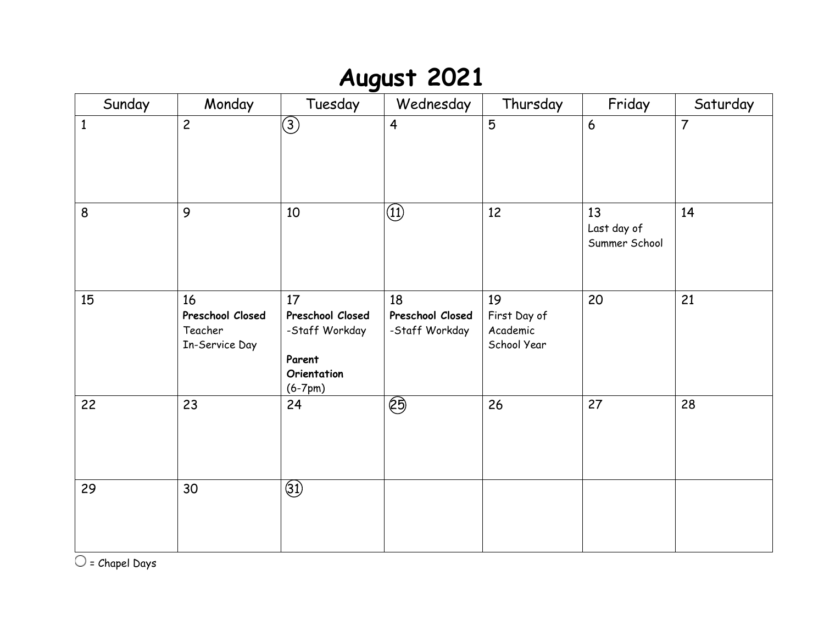# **August 2021**

| Sunday       | Monday                                              | Tuesday                                                                        | Wednesday                                | Thursday                                      | Friday                             | Saturday       |
|--------------|-----------------------------------------------------|--------------------------------------------------------------------------------|------------------------------------------|-----------------------------------------------|------------------------------------|----------------|
| $\mathbf{1}$ | $\overline{c}$                                      | $\bigcirc$                                                                     | $\overline{\mathbf{4}}$                  | $\overline{5}$                                | 6                                  | $\overline{7}$ |
| 8            | 9                                                   | 10                                                                             | $\circled{1}$                            | 12                                            | 13<br>Last day of<br>Summer School | 14             |
| 15           | 16<br>Preschool Closed<br>Teacher<br>In-Service Day | 17<br>Preschool Closed<br>-Staff Workday<br>Parent<br>Orientation<br>$(6-7pm)$ | 18<br>Preschool Closed<br>-Staff Workday | 19<br>First Day of<br>Academic<br>School Year | 20                                 | 21             |
| 22           | 23                                                  | 24                                                                             | හි                                       | 26                                            | 27                                 | 28             |
| 29           | 30                                                  | $\circled{3}$                                                                  |                                          |                                               |                                    |                |

 $\overline{\bigcirc}$  = Chapel Days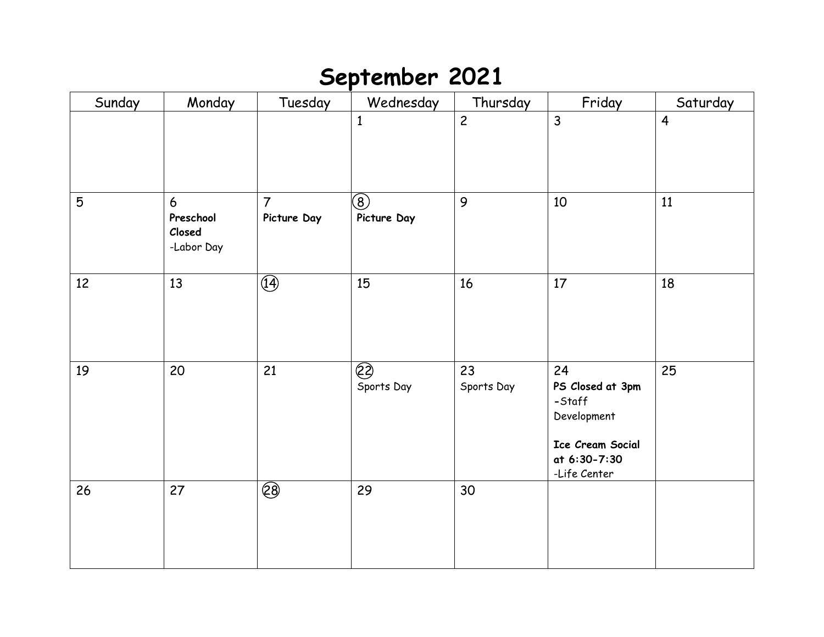#### **September 2021**

| Sunday         | Monday                                 | Tuesday                       | Wednesday                              | Thursday         | Friday                                                                                              | Saturday       |
|----------------|----------------------------------------|-------------------------------|----------------------------------------|------------------|-----------------------------------------------------------------------------------------------------|----------------|
|                |                                        |                               | $\mathbf{1}$                           | $\overline{c}$   | $\overline{3}$                                                                                      | $\overline{4}$ |
| $5\phantom{.}$ | 6<br>Preschool<br>Closed<br>-Labor Day | $\overline{7}$<br>Picture Day | $\circledS$<br>Picture Day             | 9                | 10                                                                                                  | 11             |
| 12             | 13                                     | $\overline{\mathcal{F}}$      | 15                                     | 16               | 17                                                                                                  | 18             |
| 19             | 20                                     | 21                            | $\overline{\mathcal{C}}$<br>Sports Day | 23<br>Sports Day | 24<br>PS Closed at 3pm<br>-Staff<br>Development<br>Ice Cream Social<br>at 6:30-7:30<br>-Life Center | 25             |
| 26             | 27                                     | $\circledS$                   | 29                                     | 30               |                                                                                                     |                |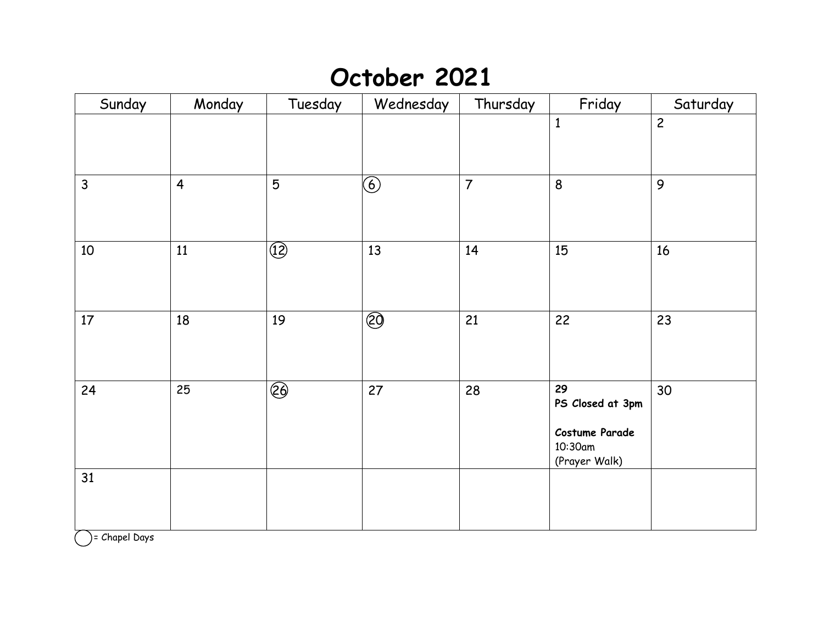## **October 2021**

| Sunday       | Monday         | Tuesday                  | Wednesday                             | Thursday       | Friday                                                               | Saturday       |
|--------------|----------------|--------------------------|---------------------------------------|----------------|----------------------------------------------------------------------|----------------|
|              |                |                          |                                       |                | $\mathbf{1}$                                                         | $\overline{c}$ |
| $\mathsf{3}$ | $\overline{4}$ | $5\phantom{.}$           | $\bigcirc$                            | $\overline{7}$ | 8                                                                    | $\mathbf{9}$   |
| 10           | 11             | $\circled{1}$            | 13                                    | 14             | 15                                                                   | 16             |
| 17           | 18             | 19                       | $\overline{\textcircled{\small{20}}}$ | 21             | 22                                                                   | 23             |
| 24           | 25             | $\overline{\mathcal{E}}$ | 27                                    | 28             | 29<br>PS Closed at 3pm<br>Costume Parade<br>10:30am<br>(Prayer Walk) | 30             |
| 31           |                |                          |                                       |                |                                                                      |                |

 $\bigcirc$  = Chapel Days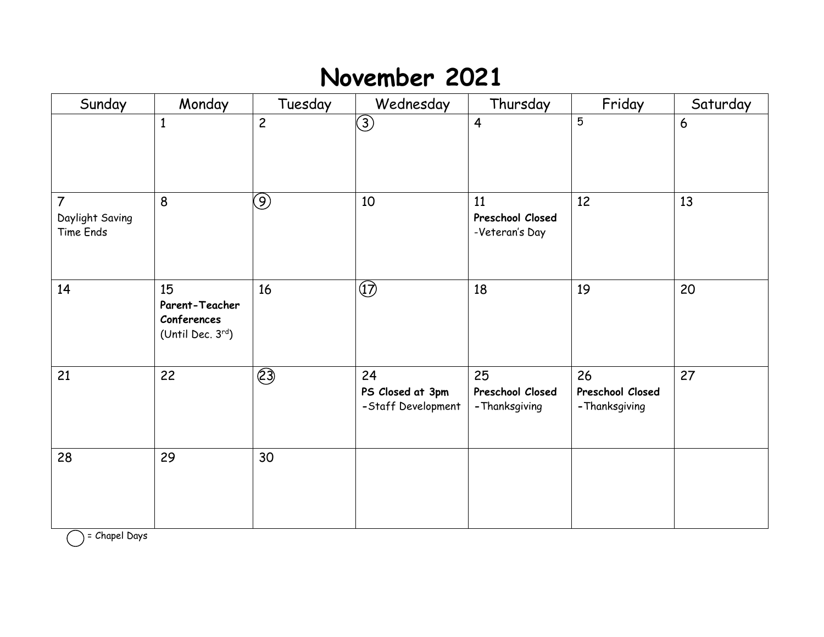## **November 2021**

| Sunday                                         | Monday                                                  | Tuesday           | Wednesday                                    | Thursday                                 | Friday                                   | Saturday |
|------------------------------------------------|---------------------------------------------------------|-------------------|----------------------------------------------|------------------------------------------|------------------------------------------|----------|
|                                                | $\mathbf{1}$                                            | $\overline{c}$    | $\bigcirc$                                   | $\overline{\mathbf{4}}$                  | $5\overline{)}$                          | 6        |
| $\overline{7}$<br>Daylight Saving<br>Time Ends | 8                                                       | $\left( 9\right)$ | 10                                           | 11<br>Preschool Closed<br>-Veteran's Day | 12                                       | 13       |
| 14                                             | 15<br>Parent-Teacher<br>Conferences<br>(Until Dec. 3rd) | 16                | $\circled{1}$                                | 18                                       | 19                                       | 20       |
| 21                                             | 22                                                      | $\circled{3}$     | 24<br>PS Closed at 3pm<br>-Staff Development | 25<br>Preschool Closed<br>- Thanksgiving | 26<br>Preschool Closed<br>- Thanksgiving | 27       |
| 28                                             | 29                                                      | 30                |                                              |                                          |                                          |          |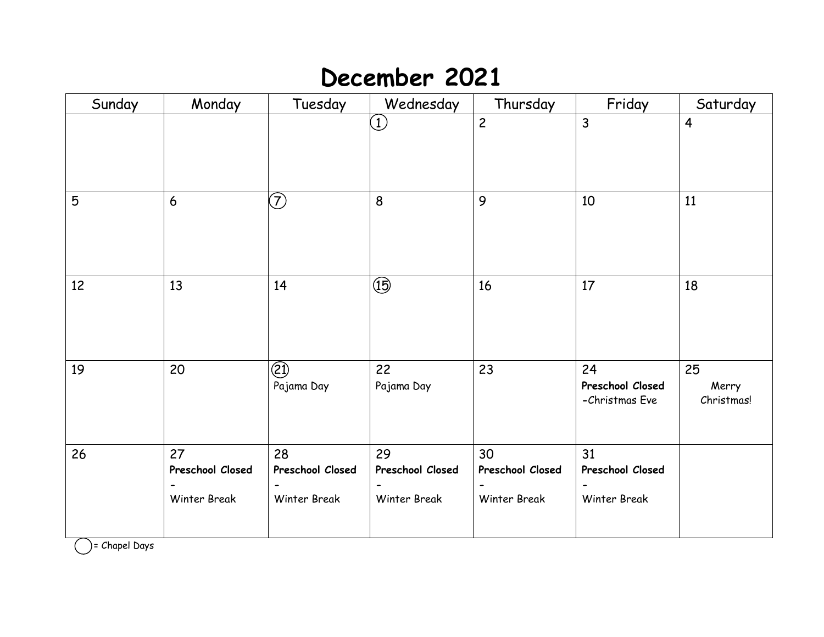### **December 2021**

| Sunday | Monday                                 | Tuesday                                       | Wednesday                                     | Thursday                               | Friday                                   | Saturday                         |
|--------|----------------------------------------|-----------------------------------------------|-----------------------------------------------|----------------------------------------|------------------------------------------|----------------------------------|
|        |                                        |                                               | $\begin{pmatrix} 1 \end{pmatrix}$             | $\overline{c}$                         | $\overline{3}$                           | 4                                |
| 5      | 6                                      | $\bigcirc$                                    | 8                                             | 9                                      | 10                                       | 11                               |
| 12     | 13                                     | 14                                            | $\circled{5}$                                 | 16                                     | 17                                       | 18                               |
| 19     | 20                                     | $\circled{2}$<br>Pajama Day                   | 22<br>Pajama Day                              | 23                                     | 24<br>Preschool Closed<br>-Christmas Eve | 25<br>Merry<br><b>Christmas!</b> |
| 26     | 27<br>Preschool Closed<br>Winter Break | 28<br>Preschool Closed<br><b>Winter Break</b> | 29<br>Preschool Closed<br><b>Winter Break</b> | 30<br>Preschool Closed<br>Winter Break | 31<br>Preschool Closed<br>Winter Break   |                                  |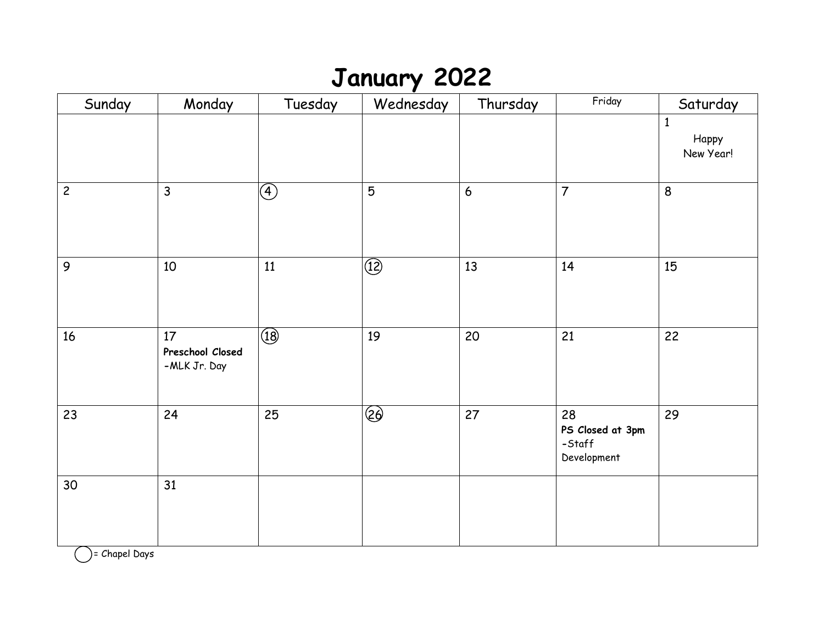## **January 2022**

| Sunday         | Monday                                 | Tuesday                | Wednesday      | Thursday       | Friday                                          | Saturday                           |
|----------------|----------------------------------------|------------------------|----------------|----------------|-------------------------------------------------|------------------------------------|
|                |                                        |                        |                |                |                                                 | $\mathbf{1}$<br>Нарру<br>New Year! |
| $\overline{c}$ | $\mathsf{3}$                           | $\bigcircled{\!\!\!4}$ | 5              | $6\phantom{a}$ | $\overline{7}$                                  | 8                                  |
| 9              | $10\,$                                 | 11                     | $\circled{12}$ | 13             | 14                                              | 15                                 |
| 16             | 17<br>Preschool Closed<br>-MLK Jr. Day | $\boxed{18}$           | 19             | 20             | 21                                              | 22                                 |
| 23             | 24                                     | 25                     | $\bigcirc$     | 27             | 28<br>PS Closed at 3pm<br>-Staff<br>Development | 29                                 |
| 30             | 31                                     |                        |                |                |                                                 |                                    |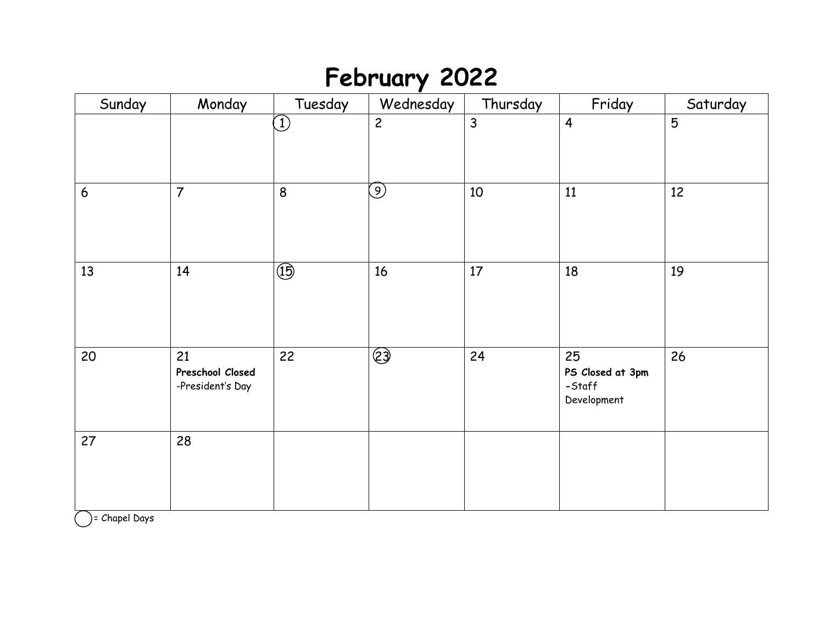# **February 2022**

| Sunday           | Monday                                     | Tuesday        | Wednesday         | Thursday       | Friday                                          | Saturday       |
|------------------|--------------------------------------------|----------------|-------------------|----------------|-------------------------------------------------|----------------|
|                  |                                            | $\bigcirc$     | $\overline{c}$    | $\overline{3}$ | $\overline{4}$                                  | $\overline{5}$ |
| $\boldsymbol{6}$ | $\overline{7}$                             | 8              | $\left( 9\right)$ | 10             | 11                                              | 12             |
| 13               | 14                                         | $\circled{15}$ | 16                | 17             | 18                                              | 19             |
| 20               | 21<br>Preschool Closed<br>-President's Day | 22             | $\bigcirc$        | 24             | 25<br>PS Closed at 3pm<br>-Staff<br>Development | 26             |
| 27               | 28                                         |                |                   |                |                                                 |                |

 $\bigcirc$  = Chapel Days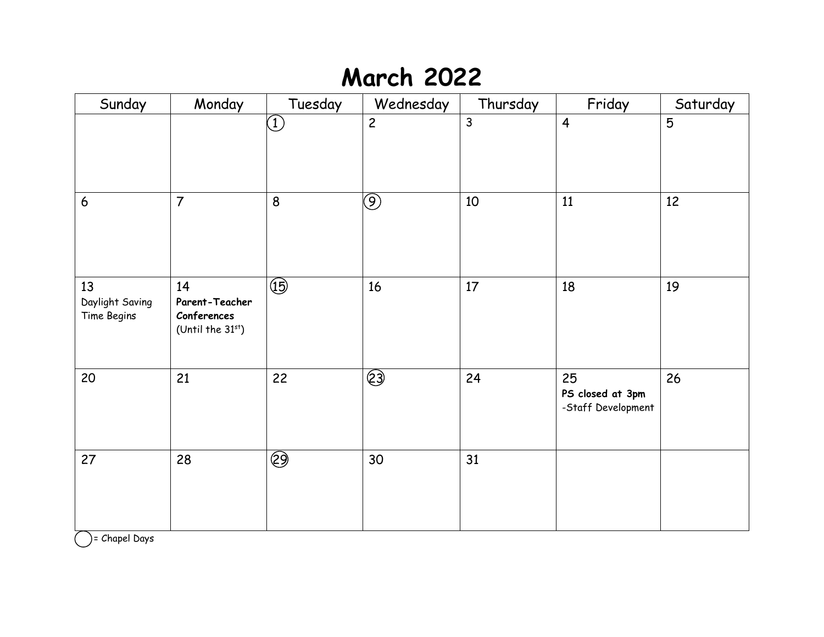## **March 2022**

| Sunday                               | Monday                                                     | Tuesday                              | Wednesday      | Thursday     | Friday                                       | Saturday       |
|--------------------------------------|------------------------------------------------------------|--------------------------------------|----------------|--------------|----------------------------------------------|----------------|
|                                      |                                                            | $\bigodot$                           | $\overline{c}$ | $\mathsf{3}$ | $\overline{4}$                               | $\overline{5}$ |
| $\boldsymbol{6}$                     | $\overline{7}$                                             | 8                                    | $\circledS$    | 10           | 11                                           | 12             |
| 13<br>Daylight Saving<br>Time Begins | 14<br>Parent-Teacher<br>Conferences<br>(Until the $31st$ ) | $\overline{\textcircled{\tiny{15}}}$ | 16             | 17           | 18                                           | 19             |
| 20                                   | 21                                                         | 22                                   | $\bigcirc$     | 24           | 25<br>PS closed at 3pm<br>-Staff Development | 26             |
| 27                                   | 28                                                         | $\overline{\mathcal{Q}}$             | 30             | 31           |                                              |                |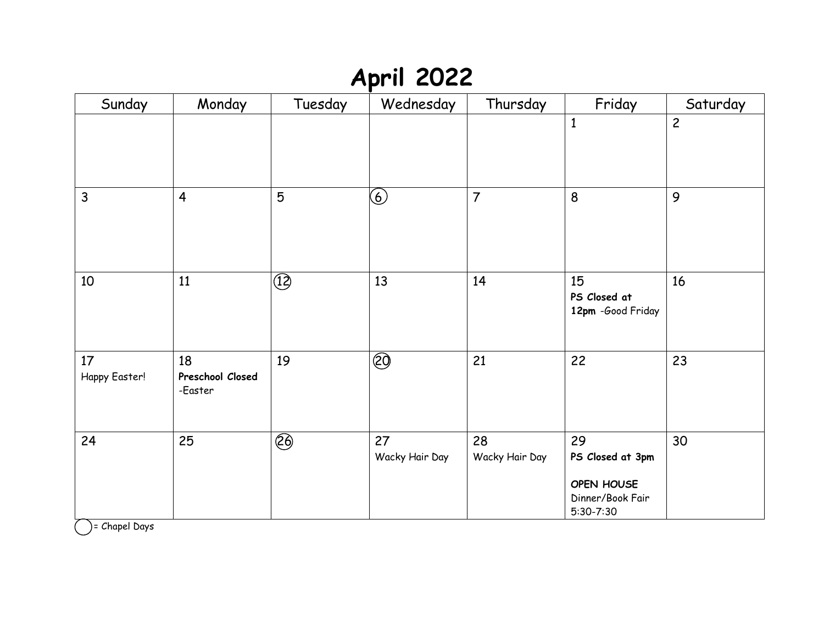## **April 2022**

| Sunday              | Monday                            | Tuesday                              | Wednesday            | Thursday             | Friday                                                                    | Saturday       |
|---------------------|-----------------------------------|--------------------------------------|----------------------|----------------------|---------------------------------------------------------------------------|----------------|
|                     |                                   |                                      |                      |                      | $\mathbf{1}$                                                              | $\overline{c}$ |
| $\mathsf{3}$        | $\overline{4}$                    | 5                                    | $\circledast$        | $\overline{7}$       | 8                                                                         | 9              |
| 10                  | 11                                | $\circled{1}$                        | 13                   | 14                   | 15<br>PS Closed at<br>12pm -Good Friday                                   | 16             |
| 17<br>Happy Easter! | 18<br>Preschool Closed<br>-Easter | 19                                   | <b>②</b>             | 21                   | 22                                                                        | 23             |
| 24                  | 25                                | $\overline{\textcircled{\small{2}}}$ | 27<br>Wacky Hair Day | 28<br>Wacky Hair Day | 29<br>PS Closed at 3pm<br>OPEN HOUSE<br>Dinner/Book Fair<br>$5:30 - 7:30$ | 30             |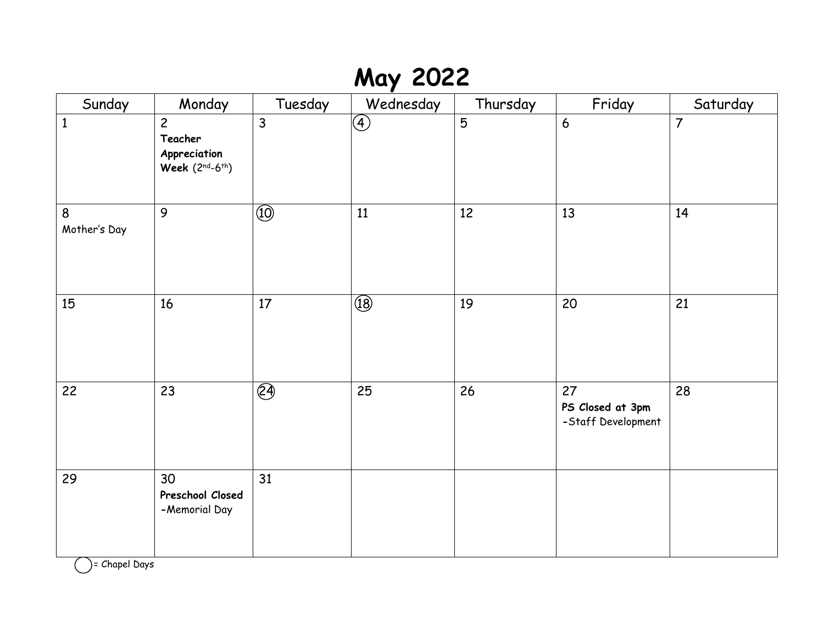# **May 2022**

| Sunday            | Monday                                                        | Tuesday                                   | Wednesday                                  | Thursday | Friday                                       | Saturday       |
|-------------------|---------------------------------------------------------------|-------------------------------------------|--------------------------------------------|----------|----------------------------------------------|----------------|
| $\mathbf{1}$      | $\overline{c}$<br>Teacher<br>Appreciation<br>Week $(2nd-6th)$ | $\overline{3}$                            | $\bigcircled{\textcircled{\small{4}}}$     | 5        | $6\overline{6}$                              | $\overline{7}$ |
| 8<br>Mother's Day | 9                                                             | $\overline{\textcircled{\scriptsize{1}}}$ | 11                                         | 12       | 13                                           | 14             |
| 15                | 16                                                            | 17                                        | $\overline{\textcircled{\scriptsize{18}}}$ | 19       | 20                                           | 21             |
| 22                | 23                                                            | $\overline{\mathcal{E}}$                  | 25                                         | 26       | 27<br>PS Closed at 3pm<br>-Staff Development | 28             |
| 29                | 30<br>Preschool Closed<br>-Memorial Day                       | 31                                        |                                            |          |                                              |                |